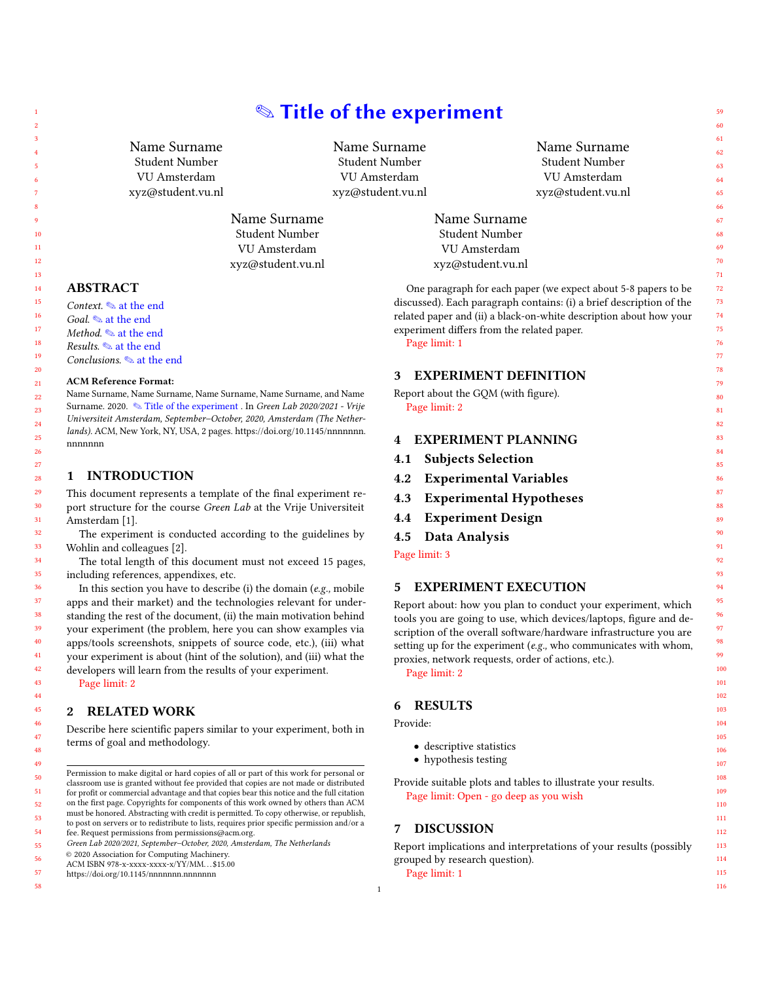# ✎ Title of the experiment

Name Surname Student Number VU Amsterdam xyz@student.vu.nl

Name Surname Student Number VU Amsterdam xyz@student.vu.nl

Name Surname Student Number VU Amsterdam xyz@student.vu.nl

# ABSTRACT

Context. ✎ at the end

Goal.  $\otimes$  at the end Method.  $\textcircled{\texttt{a}}$  at the end

Results. ✎ at the end

Conclusions. ✎ at the end

#### ACM Reference Format:

Name Surname, Name Surname, Name Surname, Name Surname, and Name Surname. 2020. ✎ Title of the experiment . In Green Lab 2020/2021 - Vrije Universiteit Amsterdam, September–October, 2020, Amsterdam (The Nether-lands). ACM, New York, NY, USA, [2](#page-1-0) pages. [https://doi.org/10.1145/nnnnnnn.](https://doi.org/10.1145/nnnnnnn.nnnnnnn) [nnnnnnn](https://doi.org/10.1145/nnnnnnn.nnnnnnn)

#### 1 INTRODUCTION

This document represents a template of the final experiment report structure for the course Green Lab at the Vrije Universiteit Amsterdam [\[1\]](#page-1-1).

The experiment is conducted according to the guidelines by Wohlin and colleagues [\[2\]](#page-1-2).

The total length of this document must not exceed 15 pages, including references, appendixes, etc.

In this section you have to describe (i) the domain (e.g., mobile apps and their market) and the technologies relevant for understanding the rest of the document, (ii) the main motivation behind your experiment (the problem, here you can show examples via apps/tools screenshots, snippets of source code, etc.), (iii) what your experiment is about (hint of the solution), and (iii) what the developers will learn from the results of your experiment.

Page limit: 2

# 2 RELATED WORK

Describe here scientific papers similar to your experiment, both in terms of goal and methodology.

Permission to make digital or hard copies of all or part of this work for personal or classroom use is granted without fee provided that copies are not made or distributed for profit or commercial advantage and that copies bear this notice and the full citation on the first page. Copyrights for components of this work owned by others than ACM must be honored. Abstracting with credit is permitted. To copy otherwise, or republish, to post on servers or to redistribute to lists, requires prior specific permission and/or a

fee. Request permissions from permissions@acm.org. Green Lab 2020/2021, September–October, 2020, Amsterdam, The Netherlands

ACM ISBN 978-x-xxxx-xxxx-x/YY/MM. . . \$15.00

<https://doi.org/10.1145/nnnnnnn.nnnnnnn>

57 58

|         | Name Surname      |
|---------|-------------------|
|         | Student Number    |
|         | VU Amsterdam      |
|         | xyz@student.vu.nl |
| Surname |                   |

Name Student Number VU Amsterdam xyz@student.vu.nl

One paragraph for each paper (we expect about 5-8 papers to be discussed). Each paragraph contains: (i) a brief description of the related paper and (ii) a black-on-white description about how your experiment differs from the related paper. Page limit: 1

#### 3 EXPERIMENT DEFINITION

Report about the GQM (with figure). Page limit: 2

#### 4 EXPERIMENT PLANNING

- 4.1 Subjects Selection
- 4.2 Experimental Variables
- 4.3 Experimental Hypotheses
- 4.4 Experiment Design

# 4.5 Data Analysis

Page limit: 3

## 5 EXPERIMENT EXECUTION

Report about: how you plan to conduct your experiment, which tools you are going to use, which devices/laptops, figure and description of the overall software/hardware infrastructure you are setting up for the experiment (e.g., who communicates with whom, proxies, network requests, order of actions, etc.).

Page limit: 2

# 6 RESULTS

Provide:

- descriptive statistics
- hypothesis testing

Provide suitable plots and tables to illustrate your results. Page limit: Open - go deep as you wish

#### 7 DISCUSSION

Report implications and interpretations of your results (possibly grouped by research question). Page limit: 1

<sup>©</sup> 2020 Association for Computing Machinery.